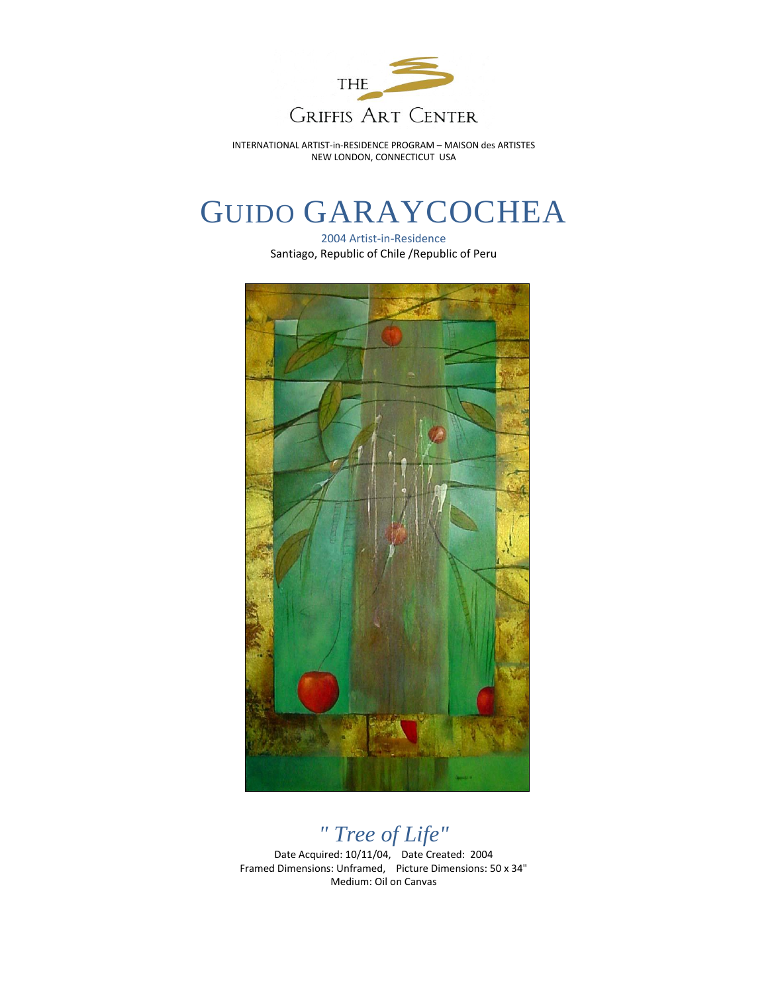

INTERNATIONAL ARTIST-in-RESIDENCE PROGRAM – MAISON des ARTISTES NEW LONDON, CONNECTICUT USA

## GUIDO GARAYCOCHEA

2004 Artist-in-Residence Santiago, Republic of Chile /Republic of Peru



*" Tree of Life"*

Date Acquired: 10/11/04, Date Created: 2004 Framed Dimensions: Unframed, Picture Dimensions: 50 x 34" Medium: Oil on Canvas